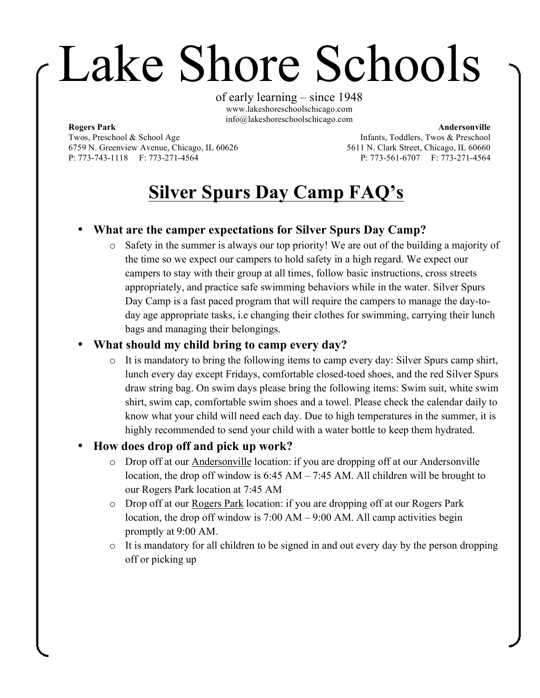# Lake Shore Schools

of early learning – since 1948 www.lakeshoreschoolschicago.com info@lakeshoreschoolschicago.com

#### **Rogers Park**

Twos, Preschool & School Age 6759 N. Greenview Avenue, Chicago, IL 60626 P: 773-743-1118 F: 773-271-4564

**Andersonville** Infants, Toddlers, Twos & Preschool 5611 N. Clark Street, Chicago, IL 60660 P: 773-561-6707 F: 773-271-4564

## **Silver Spurs Day Camp FAQ's**

### • **What are the camper expectations for Silver Spurs Day Camp?**

o Safety in the summer is always our top priority! We are out of the building a majority of the time so we expect our campers to hold safety in a high regard. We expect our campers to stay with their group at all times, follow basic instructions, cross streets appropriately, and practice safe swimming behaviors while in the water. Silver Spurs Day Camp is a fast paced program that will require the campers to manage the day-today age appropriate tasks, i.e changing their clothes for swimming, carrying their lunch bags and managing their belongings.

#### • **What should my child bring to camp every day?**

o It is mandatory to bring the following items to camp every day: Silver Spurs camp shirt, lunch every day except Fridays, comfortable closed-toed shoes, and the red Silver Spurs draw string bag. On swim days please bring the following items: Swim suit, white swim shirt, swim cap, comfortable swim shoes and a towel. Please check the calendar daily to know what your child will need each day. Due to high temperatures in the summer, it is highly recommended to send your child with a water bottle to keep them hydrated.

#### • **How does drop off and pick up work?**

- o Drop off at our Andersonville location: if you are dropping off at our Andersonville location, the drop off window is 6:45 AM – 7:45 AM. All children will be brought to our Rogers Park location at 7:45 AM
- o Drop off at our Rogers Park location: if you are dropping off at our Rogers Park location, the drop off window is 7:00 AM – 9:00 AM. All camp activities begin promptly at 9:00 AM.
- o It is mandatory for all children to be signed in and out every day by the person dropping off or picking up